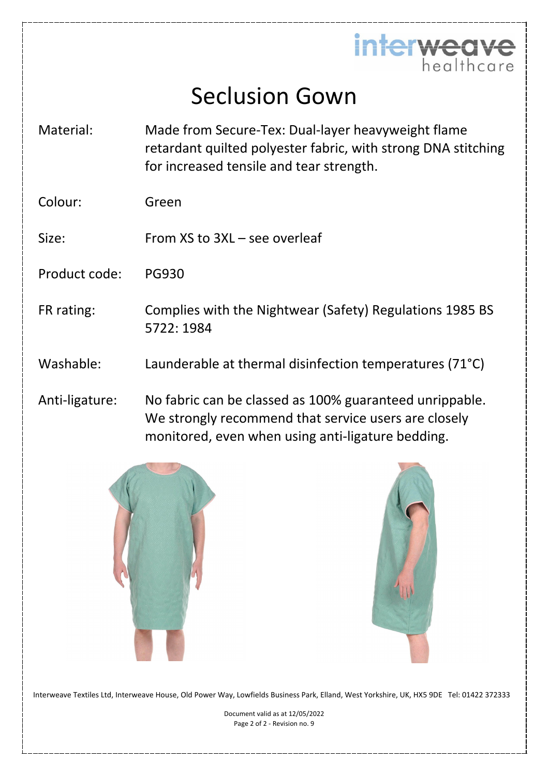

## Seclusion Gown

- Material: Made from Secure-Tex: Dual-layer heavyweight flame retardant quilted polyester fabric, with strong DNA stitching for increased tensile and tear strength.
- Colour: Green
- Size: From XS to 3XL see overleaf
- Product code: PG930
- FR rating: Complies with the Nightwear (Safety) Regulations 1985 BS 5722: 1984
- Washable: Launderable at thermal disinfection temperatures (71°C)
- Anti-ligature: No fabric can be classed as 100% guaranteed unrippable. We strongly recommend that service users are closely monitored, even when using anti-ligature bedding.





Interweave Textiles Ltd, Interweave House, Old Power Way, Lowfields Business Park, Elland, West Yorkshire, UK, HX5 9DE Tel: 01422 372333

Document valid as at 12/05/2022 Page 2 of 2 - Revision no. 9